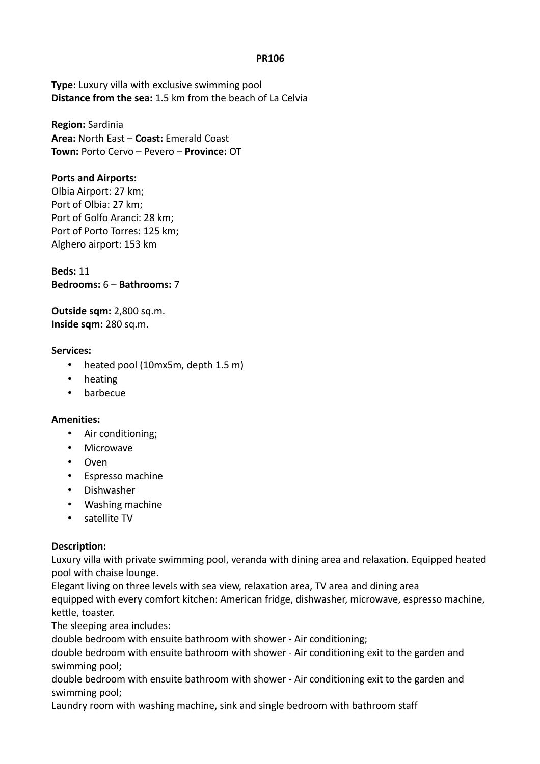### **PR106**

**Type:** Luxury villa with exclusive swimming pool **Distance from the sea:** 1.5 km from the beach of La Celvia

**Region:** Sardinia **Area:** North East – **Coast:** Emerald Coast **Town:** Porto Cervo – Pevero – **Province:** OT

## **Ports and Airports:**

Olbia Airport: 27 km; Port of Olbia: 27 km; Port of Golfo Aranci: 28 km; Port of Porto Torres: 125 km; Alghero airport: 153 km

**Beds:** 11 **Bedrooms:** 6 – **Bathrooms:** 7

**Outside sqm:** 2,800 sq.m. **Inside sqm:** 280 sq.m.

### **Services:**

- heated pool (10mx5m, depth 1.5 m)
- heating
- barbecue

### **Amenities:**

- Air conditioning;
- **Microwave**
- Oven
- Espresso machine
- Dishwasher
- Washing machine
- satellite TV

### **Description:**

Luxury villa with private swimming pool, veranda with dining area and relaxation. Equipped heated pool with chaise lounge.

Elegant living on three levels with sea view, relaxation area, TV area and dining area equipped with every comfort kitchen: American fridge, dishwasher, microwave, espresso machine, kettle, toaster.

The sleeping area includes:

double bedroom with ensuite bathroom with shower - Air conditioning;

double bedroom with ensuite bathroom with shower - Air conditioning exit to the garden and swimming pool;

double bedroom with ensuite bathroom with shower - Air conditioning exit to the garden and swimming pool;

Laundry room with washing machine, sink and single bedroom with bathroom staff